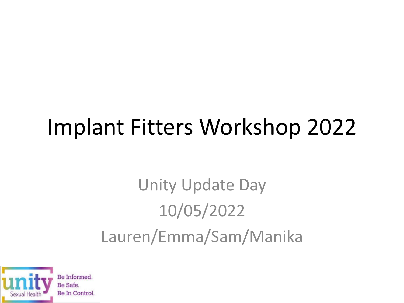#### Implant Fitters Workshop 2022

#### Unity Update Day 10/05/2022 Lauren/Emma/Sam/Manika

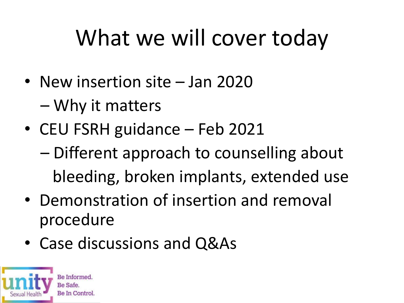#### What we will cover today

- New insertion site Jan 2020
	- Why it matters
- CEU FSRH guidance Feb 2021
	- Different approach to counselling about bleeding, broken implants, extended use
- Demonstration of insertion and removal procedure
- Case discussions and Q&As

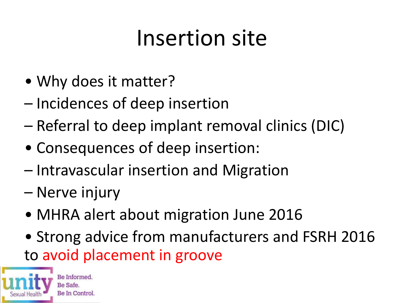#### Insertion site

- Why does it matter?
- Incidences of deep insertion
- Referral to deep implant removal clinics (DIC)
- Consequences of deep insertion:
- Intravascular insertion and Migration
- Nerve injury
- MHRA alert about migration June 2016
- Strong advice from manufacturers and FSRH 2016 to avoid placement in groove

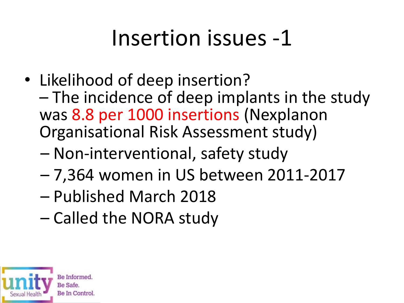#### Insertion issues -1

- Likelihood of deep insertion? – The incidence of deep implants in the study was 8.8 per 1000 insertions (Nexplanon Organisational Risk Assessment study)
	- Non-interventional, safety study
	- 7,364 women in US between 2011-2017
	- Published March 2018
	- Called the NORA study

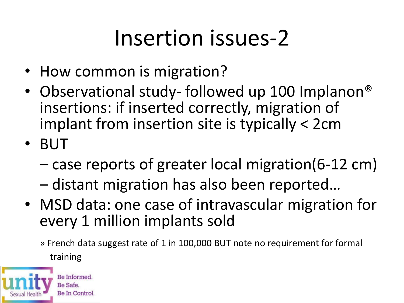#### Insertion issues-2

- How common is migration?
- Observational study- followed up 100 Implanon® insertions: if inserted correctly, migration of implant from insertion site is typically < 2cm
- BUT
	- case reports of greater local migration(6-12 cm)
	- distant migration has also been reported…
- MSD data: one case of intravascular migration for every 1 million implants sold
	- » French data suggest rate of 1 in 100,000 BUT note no requirement for formal training

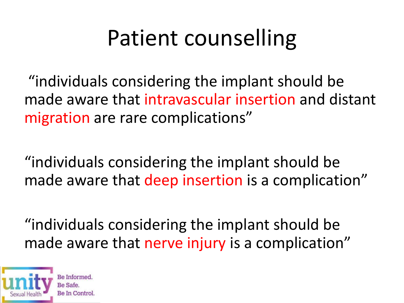#### Patient counselling

"individuals considering the implant should be made aware that intravascular insertion and distant migration are rare complications"

"individuals considering the implant should be made aware that deep insertion is a complication"

"individuals considering the implant should be made aware that nerve injury is a complication"

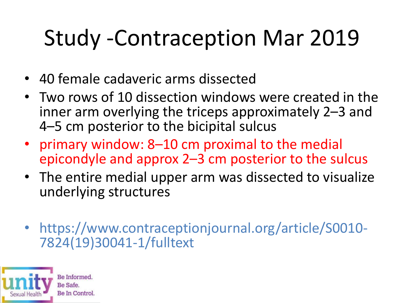# Study -Contraception Mar 2019

- 40 female cadaveric arms dissected
- Two rows of 10 dissection windows were created in the inner arm overlying the triceps approximately 2–3 and 4–5 cm posterior to the bicipital sulcus
- primary window: 8–10 cm proximal to the medial epicondyle and approx 2–3 cm posterior to the sulcus
- The entire medial upper arm was dissected to visualize underlying structures
- https://www.contraceptionjournal.org/article/S0010- 7824(19)30041-1/fulltext

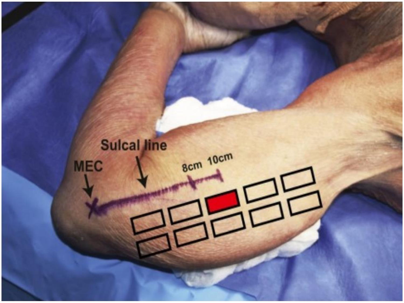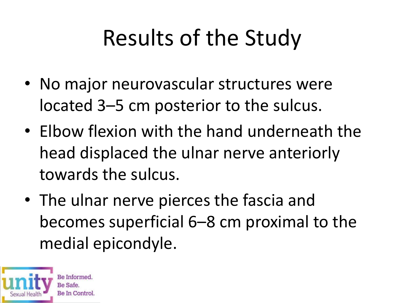### Results of the Study

- No major neurovascular structures were located 3–5 cm posterior to the sulcus.
- Elbow flexion with the hand underneath the head displaced the ulnar nerve anteriorly towards the sulcus.
- The ulnar nerve pierces the fascia and becomes superficial 6–8 cm proximal to the medial epicondyle.

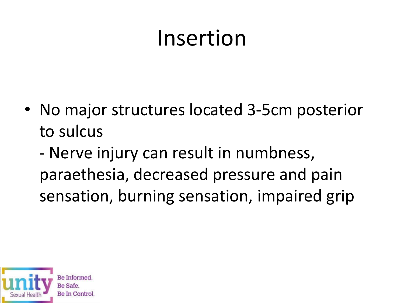#### Insertion

- No major structures located 3-5cm posterior to sulcus
	- Nerve injury can result in numbness, paraethesia, decreased pressure and pain sensation, burning sensation, impaired grip

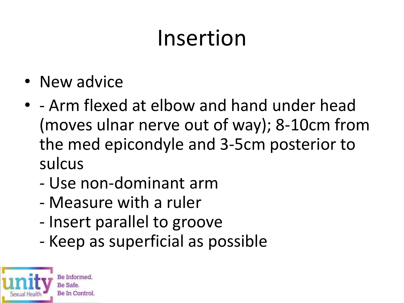## Insertion

- New advice
- - Arm flexed at elbow and hand under head (moves ulnar nerve out of way); 8-10cm from the med epicondyle and 3-5cm posterior to sulcus
	- Use non-dominant arm
	- Measure with a ruler
	- Insert parallel to groove
	- Keep as superficial as possible

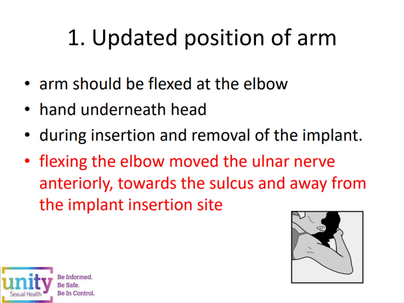## 1. Updated position of arm

- arm should be flexed at the elbow
- hand underneath head
- during insertion and removal of the implant.
- flexing the elbow moved the ulnar nerve anteriorly, towards the sulcus and away from the implant insertion site



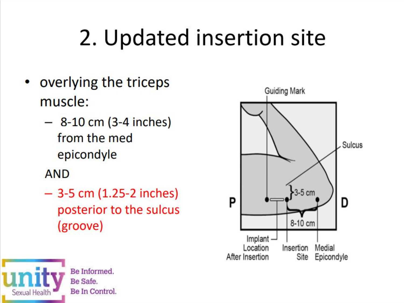#### 2. Updated insertion site

- overlying the triceps muscle:
	- $-$  8-10 cm (3-4 inches) from the med epicondyle

**AND** 

 $-$  3-5 cm (1.25-2 inches) posterior to the sulcus (groove)



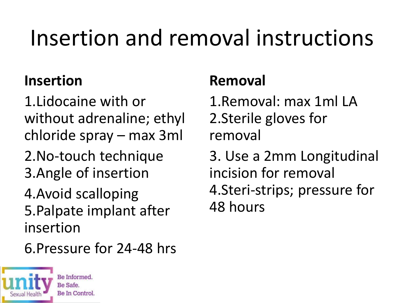## Insertion and removal instructions

#### **Insertion**

1.Lidocaine with or without adrenaline; ethyl chloride spray – max 3ml

2.No-touch technique 3.Angle of insertion

4.Avoid scalloping 5.Palpate implant after insertion

6.Pressure for 24-48 hrs



#### **Removal**

1.Removal: max 1ml LA 2.Sterile gloves for removal

3. Use a 2mm Longitudinal incision for removal 4.Steri-strips; pressure for 48 hours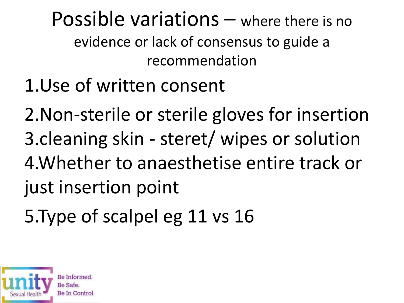Possible variations – where there is no evidence or lack of consensus to guide a recommendation

1.Use of written consent

2.Non-sterile or sterile gloves for insertion 3.cleaning skin - steret/ wipes or solution 4.Whether to anaesthetise entire track or just insertion point

5.Type of scalpel eg 11 vs 16

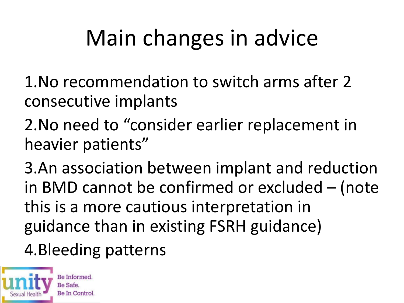## Main changes in advice

- 1.No recommendation to switch arms after 2 consecutive implants
- 2.No need to "consider earlier replacement in heavier patients"
- 3.An association between implant and reduction in BMD cannot be confirmed or excluded – (note this is a more cautious interpretation in guidance than in existing FSRH guidance) 4.Bleeding patterns

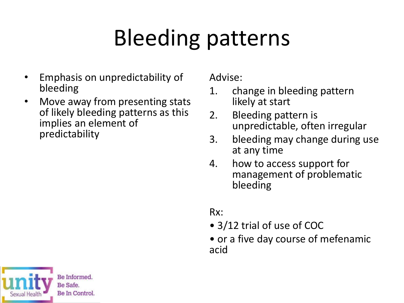# Bleeding patterns

- Emphasis on unpredictability of bleeding
- Move away from presenting stats of likely bleeding patterns as this implies an element of predictability

Advise:

- 1. change in bleeding pattern likely at start
- 2. Bleeding pattern is unpredictable, often irregular
- 3. bleeding may change during use at any time
- 4. how to access support for management of problematic bleeding

Rx:

- 3/12 trial of use of COC
- or a five day course of mefenamic acid

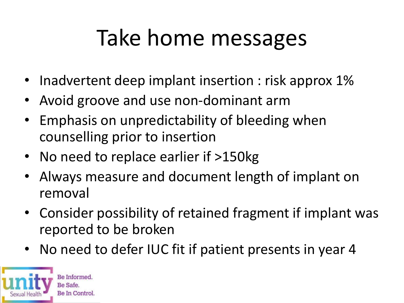#### Take home messages

- Inadvertent deep implant insertion : risk approx 1%
- Avoid groove and use non-dominant arm
- Emphasis on unpredictability of bleeding when counselling prior to insertion
- No need to replace earlier if >150kg
- Always measure and document length of implant on removal
- Consider possibility of retained fragment if implant was reported to be broken
- No need to defer IUC fit if patient presents in year 4